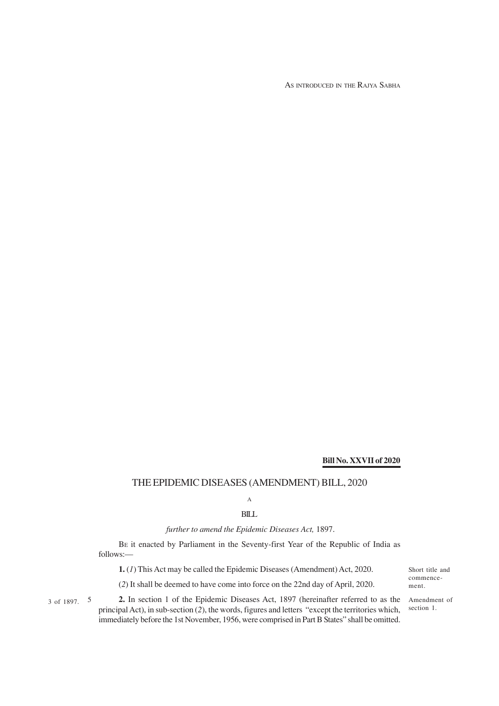AS INTRODUCED IN THE RAJYA SABHA

#### **Bill No. XXVII of 2020**

## THE EPIDEMIC DISEASES (AMENDMENT) BILL, 2020

# A BILL

### *further to amend the Epidemic Diseases Act,* 1897.

BE it enacted by Parliament in the Seventy-first Year of the Republic of India as follows:—

**1.** (*1*) This Act may be called the Epidemic Diseases (Amendment) Act, 2020.

(*2*) It shall be deemed to have come into force on the 22nd day of April, 2020.

3 of 1897. 5

2. In section 1 of the Epidemic Diseases Act, 1897 (hereinafter referred to as the Amendment of principal Act), in sub-section (*2*), the words, figures and letters "except the territories which, immediately before the 1st November, 1956, were comprised in Part B States" shall be omitted.

Short title and commencement.

section 1.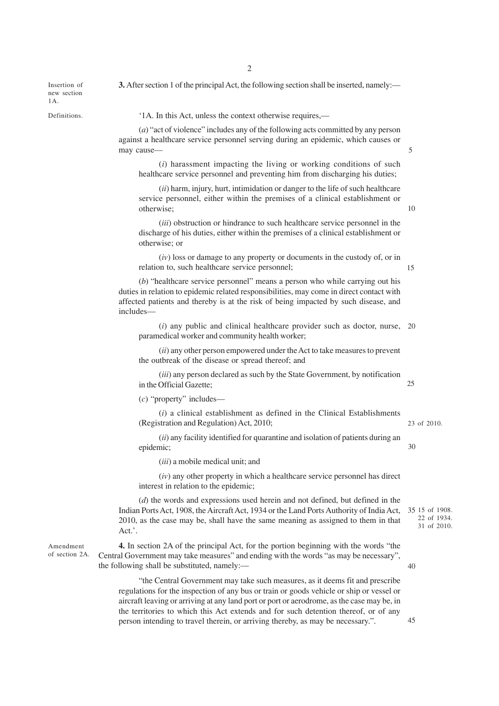Insertion of new section 1A.

Definitions.

**3.** After section 1 of the principal Act, the following section shall be inserted, namely:—

'1A. In this Act, unless the context otherwise requires,––

(*a*) "act of violence" includes any of the following acts committed by any person against a healthcare service personnel serving during an epidemic, which causes or may cause––

(*i*) harassment impacting the living or working conditions of such healthcare service personnel and preventing him from discharging his duties;

(*ii*) harm, injury, hurt, intimidation or danger to the life of such healthcare service personnel, either within the premises of a clinical establishment or otherwise;

(*iii*) obstruction or hindrance to such healthcare service personnel in the discharge of his duties, either within the premises of a clinical establishment or otherwise; or

(*iv*) loss or damage to any property or documents in the custody of, or in relation to, such healthcare service personnel;

(*b*) "healthcare service personnel" means a person who while carrying out his duties in relation to epidemic related responsibilities, may come in direct contact with affected patients and thereby is at the risk of being impacted by such disease, and includes––

(*i*) any public and clinical healthcare provider such as doctor, nurse, 20 paramedical worker and community health worker;

(*ii*) any other person empowered under the Act to take measures to prevent the outbreak of the disease or spread thereof; and

(*iii*) any person declared as such by the State Government, by notification in the Official Gazette;

(*c*) "property" includes––

(*i*) a clinical establishment as defined in the Clinical Establishments (Registration and Regulation) Act, 2010;

(*ii*) any facility identified for quarantine and isolation of patients during an epidemic;

30

40

45

25

5

10

15

23 of 2010.

22 of 1934. 31 of 2010.

(*iii*) a mobile medical unit; and

(*iv*) any other property in which a healthcare service personnel has direct interest in relation to the epidemic;

(*d*) the words and expressions used herein and not defined, but defined in the Indian Ports Act, 1908, the Aircraft Act, 1934 or the Land Ports Authority of India Act, 2010, as the case may be, shall have the same meaning as assigned to them in that Act.'. 15 of 1908. 35

Amendment of section 2A.

**4.** In section 2A of the principal Act, for the portion beginning with the words "the Central Government may take measures" and ending with the words "as may be necessary", the following shall be substituted, namely:––

"the Central Government may take such measures, as it deems fit and prescribe regulations for the inspection of any bus or train or goods vehicle or ship or vessel or aircraft leaving or arriving at any land port or port or aerodrome, as the case may be, in the territories to which this Act extends and for such detention thereof, or of any person intending to travel therein, or arriving thereby, as may be necessary.".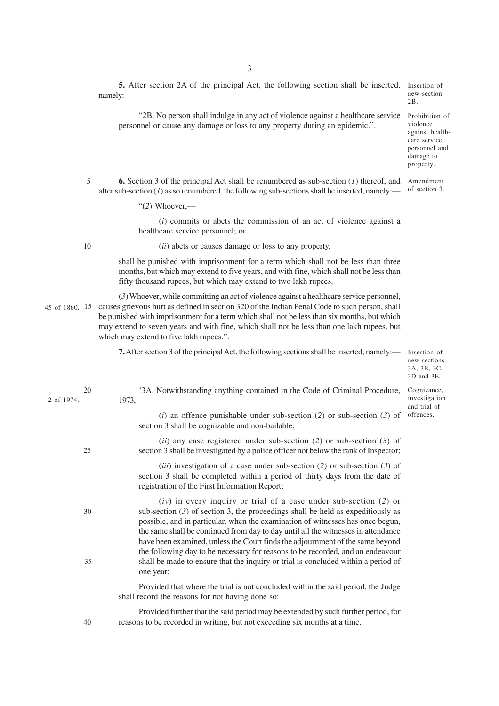personnel or cause any damage or loss to any property during an epidemic.".

**5.** After section 2A of the principal Act, the following section shall be inserted, namely:— Insertion of new section

 $2R$ 

"2B. No person shall indulge in any act of violence against a healthcare service Prohibition of violence against healthcare service personnel and damage to property.

**6.** Section 3 of the principal Act shall be renumbered as sub-section (*1*) thereof, and Amendment after sub-section (*1*) as so renumbered, the following sub-sections shall be inserted, namely: of section 3. 5

"(*2*) Whoever,––

(*i*) commits or abets the commission of an act of violence against a healthcare service personnel; or

10

 $40$ 

(*ii*) abets or causes damage or loss to any property,

shall be punished with imprisonment for a term which shall not be less than three months, but which may extend to five years, and with fine, which shall not be less than fifty thousand rupees, but which may extend to two lakh rupees.

(*3*) Whoever, while committing an act of violence against a healthcare service personnel, 45 of 1860. 15 causes grievous hurt as defined in section 320 of the Indian Penal Code to such person, shall be punished with imprisonment for a term which shall not be less than six months, but which may extend to seven years and with fine, which shall not be less than one lakh rupees, but which may extend to five lakh rupees.".

**7.** After section 3 of the principal Act, the following sections shall be inserted, namely:  $\qquad \qquad$  Insertion of

new sections 3A, 3B, 3C, 3D and 3E.

| 2 of 1974. | 20 | '3A. Notwithstanding anything contained in the Code of Criminal Procedure,<br>$1973-$                                                                                                                                                                                                                                                                                                                            | Cognizance,<br>investigation<br>and trial of |
|------------|----|------------------------------------------------------------------------------------------------------------------------------------------------------------------------------------------------------------------------------------------------------------------------------------------------------------------------------------------------------------------------------------------------------------------|----------------------------------------------|
|            |    | (i) an offence punishable under sub-section (2) or sub-section (3) of<br>section 3 shall be cognizable and non-bailable;                                                                                                                                                                                                                                                                                         | offences.                                    |
|            | 25 | ( <i>ii</i> ) any case registered under sub-section (2) or sub-section (3) of<br>section 3 shall be investigated by a police officer not below the rank of Inspector;                                                                                                                                                                                                                                            |                                              |
|            |    | ( <i>iii</i> ) investigation of a case under sub-section (2) or sub-section (3) of<br>section 3 shall be completed within a period of thirty days from the date of<br>registration of the First Information Report;                                                                                                                                                                                              |                                              |
|            | 30 | $(iv)$ in every inquiry or trial of a case under sub-section (2) or<br>sub-section $(3)$ of section 3, the proceedings shall be held as expeditiously as<br>possible, and in particular, when the examination of witnesses has once begun,<br>the same shall be continued from day to day until all the witnesses in attendance<br>have been examined, unless the Court finds the adjournment of the same beyond |                                              |
|            | 35 | the following day to be necessary for reasons to be recorded, and an endeavour<br>shall be made to ensure that the inquiry or trial is concluded within a period of<br>one year:                                                                                                                                                                                                                                 |                                              |

Provided that where the trial is not concluded within the said period, the Judge shall record the reasons for not having done so:

Provided further that the said period may be extended by such further period, for reasons to be recorded in writing, but not exceeding six months at a time.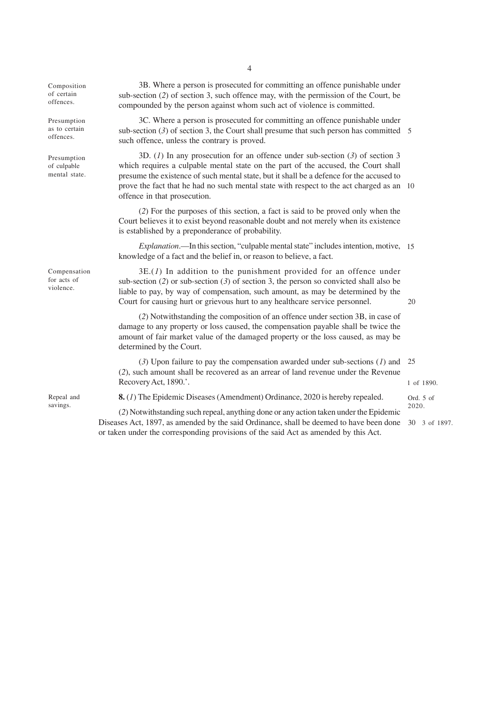Composition of certain offences.

Presumption as to certain offences.

Presumption of culpable mental state.

Compensation for acts of violence.

Repeal and savings.

3B. Where a person is prosecuted for committing an offence punishable under sub-section (*2*) of section 3, such offence may, with the permission of the Court, be compounded by the person against whom such act of violence is committed.

3C. Where a person is prosecuted for committing an offence punishable under sub-section  $(3)$  of section 3, the Court shall presume that such person has committed  $5$ such offence, unless the contrary is proved.

3D. (*1*) In any prosecution for an offence under sub-section (*3*) of section 3 which requires a culpable mental state on the part of the accused, the Court shall presume the existence of such mental state, but it shall be a defence for the accused to prove the fact that he had no such mental state with respect to the act charged as an 10 offence in that prosecution.

(*2*) For the purposes of this section, a fact is said to be proved only when the Court believes it to exist beyond reasonable doubt and not merely when its existence is established by a preponderance of probability.

*Explanation*.—In this section, "culpable mental state" includes intention, motive, 15 knowledge of a fact and the belief in, or reason to believe, a fact.

3E.(*1*) In addition to the punishment provided for an offence under sub-section (*2*) or sub-section (*3*) of section 3, the person so convicted shall also be liable to pay, by way of compensation, such amount, as may be determined by the Court for causing hurt or grievous hurt to any healthcare service personnel.

(*2*) Notwithstanding the composition of an offence under section 3B, in case of damage to any property or loss caused, the compensation payable shall be twice the amount of fair market value of the damaged property or the loss caused, as may be determined by the Court.

(*3*) Upon failure to pay the compensation awarded under sub-sections (*1*) and 25 (*2*), such amount shall be recovered as an arrear of land revenue under the Revenue Recovery Act, 1890.'.

**8.** (*1*) The Epidemic Diseases (Amendment) Ordinance, 2020 is hereby repealed.

(*2*) Notwithstanding such repeal, anything done or any action taken under the Epidemic Diseases Act, 1897, as amended by the said Ordinance, shall be deemed to have been done 30 3 of 1897. or taken under the corresponding provisions of the said Act as amended by this Act.

1 of 1890.

20

Ord. 5 of 2020.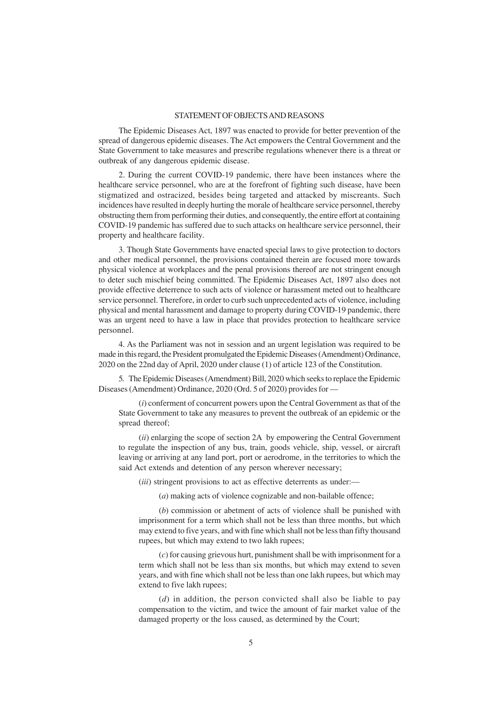### STATEMENT OF OBJECTS AND REASONS

The Epidemic Diseases Act, 1897 was enacted to provide for better prevention of the spread of dangerous epidemic diseases. The Act empowers the Central Government and the State Government to take measures and prescribe regulations whenever there is a threat or outbreak of any dangerous epidemic disease.

2. During the current COVID-19 pandemic, there have been instances where the healthcare service personnel, who are at the forefront of fighting such disease, have been stigmatized and ostracized, besides being targeted and attacked by miscreants. Such incidences have resulted in deeply hurting the morale of healthcare service personnel, thereby obstructing them from performing their duties, and consequently, the entire effort at containing COVID-19 pandemic has suffered due to such attacks on healthcare service personnel, their property and healthcare facility.

3. Though State Governments have enacted special laws to give protection to doctors and other medical personnel, the provisions contained therein are focused more towards physical violence at workplaces and the penal provisions thereof are not stringent enough to deter such mischief being committed. The Epidemic Diseases Act, 1897 also does not provide effective deterrence to such acts of violence or harassment meted out to healthcare service personnel. Therefore, in order to curb such unprecedented acts of violence, including physical and mental harassment and damage to property during COVID-19 pandemic, there was an urgent need to have a law in place that provides protection to healthcare service personnel.

4. As the Parliament was not in session and an urgent legislation was required to be made in this regard, the President promulgated the Epidemic Diseases (Amendment) Ordinance, 2020 on the 22nd day of April, 2020 under clause (1) of article 123 of the Constitution.

5. The Epidemic Diseases (Amendment) Bill, 2020 which seeks to replace the Epidemic Diseases (Amendment) Ordinance, 2020 (Ord. 5 of 2020) provides for —

(*i*) conferment of concurrent powers upon the Central Government as that of the State Government to take any measures to prevent the outbreak of an epidemic or the spread thereof;

(*ii*) enlarging the scope of section 2A by empowering the Central Government to regulate the inspection of any bus, train, goods vehicle, ship, vessel, or aircraft leaving or arriving at any land port, port or aerodrome, in the territories to which the said Act extends and detention of any person wherever necessary;

(*iii*) stringent provisions to act as effective deterrents as under:—

(*a*) making acts of violence cognizable and non-bailable offence;

(*b*) commission or abetment of acts of violence shall be punished with imprisonment for a term which shall not be less than three months, but which may extend to five years, and with fine which shall not be less than fifty thousand rupees, but which may extend to two lakh rupees;

(*c*) for causing grievous hurt, punishment shall be with imprisonment for a term which shall not be less than six months, but which may extend to seven years, and with fine which shall not be less than one lakh rupees, but which may extend to five lakh rupees;

(*d*) in addition, the person convicted shall also be liable to pay compensation to the victim, and twice the amount of fair market value of the damaged property or the loss caused, as determined by the Court;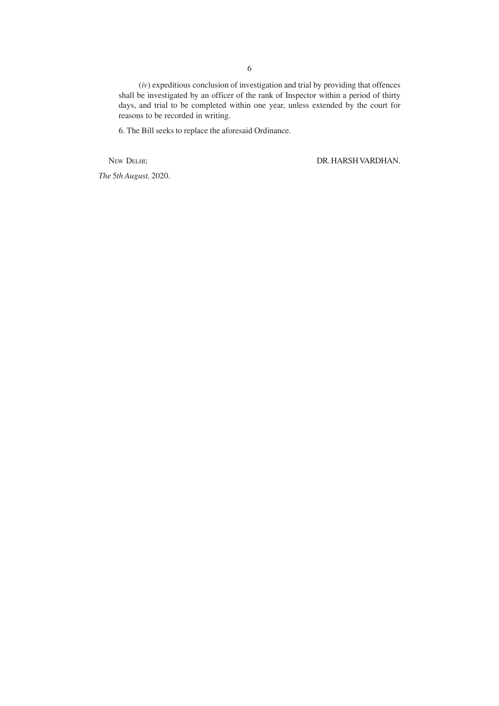(*iv*) expeditious conclusion of investigation and trial by providing that offences shall be investigated by an officer of the rank of Inspector within a period of thirty days, and trial to be completed within one year, unless extended by the court for reasons to be recorded in writing.

6. The Bill seeks to replace the aforesaid Ordinance.

NEW DELHI; DR. HARSH VARDHAN.

*The* 5*th August,* 2020.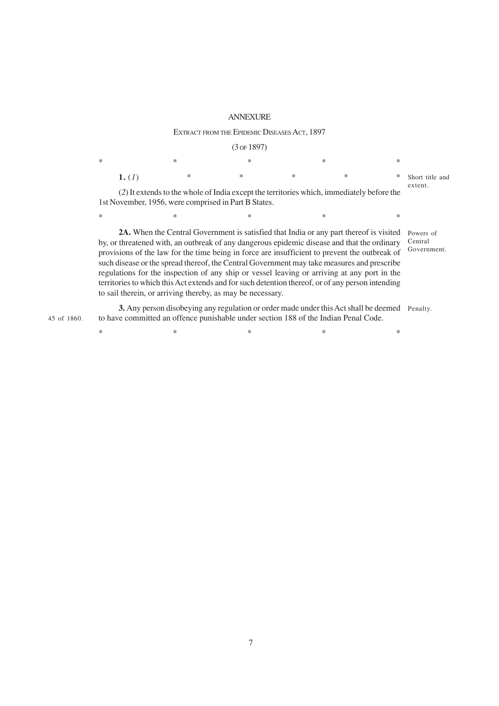### **ANNEXURE**

#### EXTRACT FROM THE EPIDEMIC DISEASES ACT, 1897

(3 OF 1897)

| $\ast$                                                                                                                                            | ∗ |   |   | ж | ж |                              |  |  |  |
|---------------------------------------------------------------------------------------------------------------------------------------------------|---|---|---|---|---|------------------------------|--|--|--|
| 1. $(I)$                                                                                                                                          | ∗ | ∗ | * | ∗ |   | * Short title and<br>extent. |  |  |  |
| (2) It extends to the whole of India except the territories which, immediately before the<br>1st November, 1956, were comprised in Part B States. |   |   |   |   |   |                              |  |  |  |

**2A.** When the Central Government is satisfied that India or any part thereof is visited Powers of by, or threatened with, an outbreak of any dangerous epidemic disease and that the ordinary provisions of the law for the time being in force are insufficient to prevent the outbreak of Government. such disease or the spread thereof, the Central Government may take measures and prescribe regulations for the inspection of any ship or vessel leaving or arriving at any port in the territories to which this Act extends and for such detention thereof, or of any person intending to sail therein, or arriving thereby, as may be necessary. Central

 $*$   $*$   $*$   $*$   $*$ 

**3.** Any person disobeying any regulation or order made under this Act shall be deemed Penalty. to have committed an offence punishable under section 188 of the Indian Penal Code. 45 of 1860.

 $*$  \*  $*$  \*  $*$  \*  $*$  \*